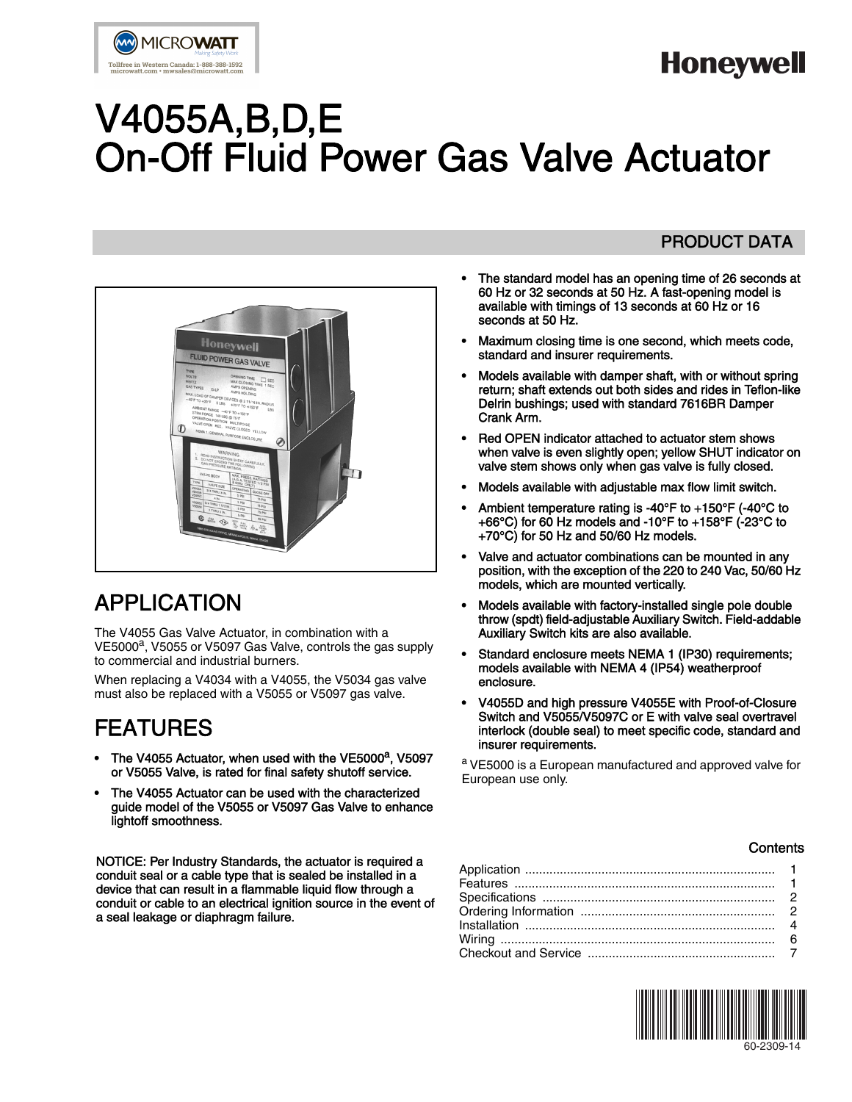# **Honeywell**

# V4055A,B,D,E On-Off Fluid Power Gas Valve Actuator



## APPLICATION

The V4055 Gas Valve Actuator, in combination with a VE5000<sup>a</sup>, V5055 or V5097 Gas Valve, controls the gas supply to commercial and industrial burners.

When replacing a V4034 with a V4055, the V5034 gas valve must also be replaced with a V5055 or V5097 gas valve.

## FEATURES

- The V4055 Actuator, when used with the VE5000<sup>a</sup>, V5097 or V5055 Valve, is rated for final safety shutoff service.
- The V4055 Actuator can be used with the characterized guide model of the V5055 or V5097 Gas Valve to enhance lightoff smoothness.

NOTICE: Per Industry Standards, the actuator is required a conduit seal or a cable type that is sealed be installed in a device that can result in a flammable liquid flow through a conduit or cable to an electrical ignition source in the event of a seal leakage or diaphragm failure.

### PRODUCT DATA

- The standard model has an opening time of 26 seconds at 60 Hz or 32 seconds at 50 Hz. A fast-opening model is available with timings of 13 seconds at 60 Hz or 16 seconds at 50 Hz.
- Maximum closing time is one second, which meets code, standard and insurer requirements.
- Models available with damper shaft, with or without spring return; shaft extends out both sides and rides in Teflon-like Delrin bushings; used with standard 7616BR Damper Crank Arm.
- Red OPEN indicator attached to actuator stem shows when valve is even slightly open; yellow SHUT indicator on valve stem shows only when gas valve is fully closed.
- Models available with adjustable max flow limit switch.
- Ambient temperature rating is -40°F to +150°F (-40°C to +66°C) for 60 Hz models and -10°F to +158°F (-23°C to +70°C) for 50 Hz and 50/60 Hz models.
- Valve and actuator combinations can be mounted in any position, with the exception of the 220 to 240 Vac, 50/60 Hz models, which are mounted vertically.
- Models available with factory-installed single pole double throw (spdt) field-adjustable Auxiliary Switch. Field-addable Auxiliary Switch kits are also available.
- Standard enclosure meets NEMA 1 (IP30) requirements; models available with NEMA 4 (IP54) weatherproof enclosure.
- V4055D and high pressure V4055E with Proof-of-Closure Switch and V5055/V5097C or E with valve seal overtravel interlock (double seal) to meet specific code, standard and insurer requirements.

a VE5000 is a European manufactured and approved valve for European use only.

### **Contents**

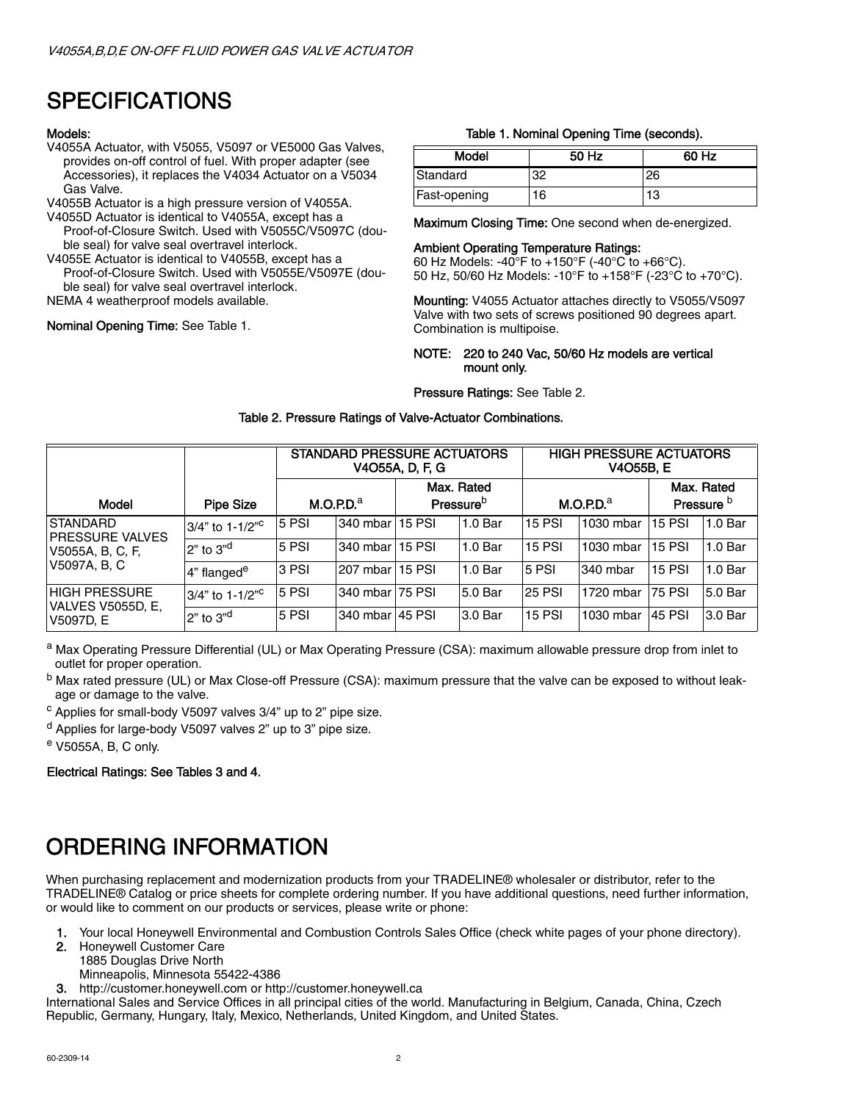## SPECIFICATIONS

### Models:

- V4055A Actuator, with V5055, V5097 or VE5000 Gas Valves, provides on-off control of fuel. With proper adapter (see Accessories), it replaces the V4034 Actuator on a V5034 Gas Valve.
- V4055B Actuator is a high pressure version of V4055A.
- V4055D Actuator is identical to V4055A, except has a
- Proof-of-Closure Switch. Used with V5055C/V5097C (double seal) for valve seal overtravel interlock.
- V4055E Actuator is identical to V4055B, except has a Proof-of-Closure Switch. Used with V5055E/V5097E (dou-
- ble seal) for valve seal overtravel interlock.
- NEMA 4 weatherproof models available.

### Nominal Opening Time: See Table 1.

### Table 1. Nominal Opening Time (seconds).

| Model        | 50 Hz | 60 Hz |
|--------------|-------|-------|
| Standard     | ຈ     | 26    |
| Fast-opening | 16    | 13    |

Maximum Closing Time: One second when de-energized.

### Ambient Operating Temperature Ratings:

60 Hz Models: -40°F to +150°F (-40°C to +66°C). 50 Hz, 50/60 Hz Models: -10°F to +158°F (-23°C to +70°C).

Mounting: V4055 Actuator attaches directly to V5055/V5097 Valve with two sets of screws positioned 90 degrees apart. Combination is multipoise.

### NOTE: 220 to 240 Vac, 50/60 Hz models are vertical mount only.

Pressure Ratings: See Table 2.

### Table 2. Pressure Ratings of Valve-Actuator Combinations.

|                                                               | STANDARD PRESSURE ACTUATORS<br>V4O55A, D, F, G |                       |                   |                                            |                    |               | <b>HIGH PRESSURE ACTUATORS</b><br><b>V4O55B, E</b> |                                     |                    |  |  |
|---------------------------------------------------------------|------------------------------------------------|-----------------------|-------------------|--------------------------------------------|--------------------|---------------|----------------------------------------------------|-------------------------------------|--------------------|--|--|
| <b>Model</b>                                                  | <b>Pipe Size</b>                               | M.O.P.D. <sup>a</sup> |                   | Max. Rated<br><b>Pressure</b> <sup>b</sup> |                    |               | M.O.P.D. <sup>a</sup>                              | Max. Rated<br>Pressure <sup>D</sup> |                    |  |  |
| <b>ISTANDARD</b>                                              | 3/4" to 1-1/2" <sup>c</sup>                    | 5 PSI                 | 340 mbar          | <b>15 PSI</b>                              | 1.0 <sub>Bar</sub> | $15$ PSI      | 1030 mbar                                          | $15$ PSI                            | 1.0 <sub>Bar</sub> |  |  |
| <b>PRESSURE VALVES</b><br>V5055A, B, C, F,                    | $2"$ to $3"$ <sup>d</sup>                      | 5 PSI                 | 340 mbar          | <b>15 PSI</b>                              | 1.0 <sub>Bar</sub> | $15$ PSI      | 1030 mbar                                          | <b>15 PSI</b>                       | 1.0 <sub>Bar</sub> |  |  |
| V5097A, B, C                                                  | 4" flanged <sup>e</sup>                        | 3 PSI                 | l207 mbar         | <b>15 PSI</b>                              | 1.0 <sub>Bar</sub> | 5 PSI         | l340 mbar                                          | <b>15 PSI</b>                       | 1.0 <sub>Bar</sub> |  |  |
| <b>HIGH PRESSURE</b><br><b>VALVES V5055D, E,</b><br>V5097D. E | $3/4$ " to 1-1/2" <sup>c</sup>                 | 5 PSI                 | 340 mbar          | <b>75 PSI</b>                              | 5.0 Bar            | <b>25 PSI</b> | 1720 mbar                                          | 75 PSI                              | 5.0 Bar            |  |  |
|                                                               | $2"$ to $3"$ <sup>d</sup>                      | 5 PSI                 | 340 mbar   45 PSI |                                            | 3.0 Bar            | <b>15 PSI</b> | 1030 mbar                                          | 45 PSI                              | 3.0 Bar            |  |  |

a Max Operating Pressure Differential (UL) or Max Operating Pressure (CSA): maximum allowable pressure drop from inlet to outlet for proper operation.

b Max rated pressure (UL) or Max Close-off Pressure (CSA): maximum pressure that the valve can be exposed to without leakage or damage to the valve.

c Applies for small-body V5097 valves 3/4" up to 2" pipe size.

- $d$  Applies for large-body V5097 valves  $2$ " up to  $3$ " pipe size.
- e V5055A, B, C only.

### Electrical Ratings: See Tables 3 and 4.

## ORDERING INFORMATION

When purchasing replacement and modernization products from your TRADELINE® wholesaler or distributor, refer to the TRADELINE® Catalog or price sheets for complete ordering number. If you have additional questions, need further information, or would like to comment on our products or services, please write or phone:

1. Your local Honeywell Environmental and Combustion Controls Sales Office (check white pages of your phone directory).

2. Honeywell Customer Care

- 1885 Douglas Drive North
- Minneapolis, Minnesota 55422-4386
- 3. http://customer.honeywell.com or http://customer.honeywell.ca

International Sales and Service Offices in all principal cities of the world. Manufacturing in Belgium, Canada, China, Czech Republic, Germany, Hungary, Italy, Mexico, Netherlands, United Kingdom, and United States.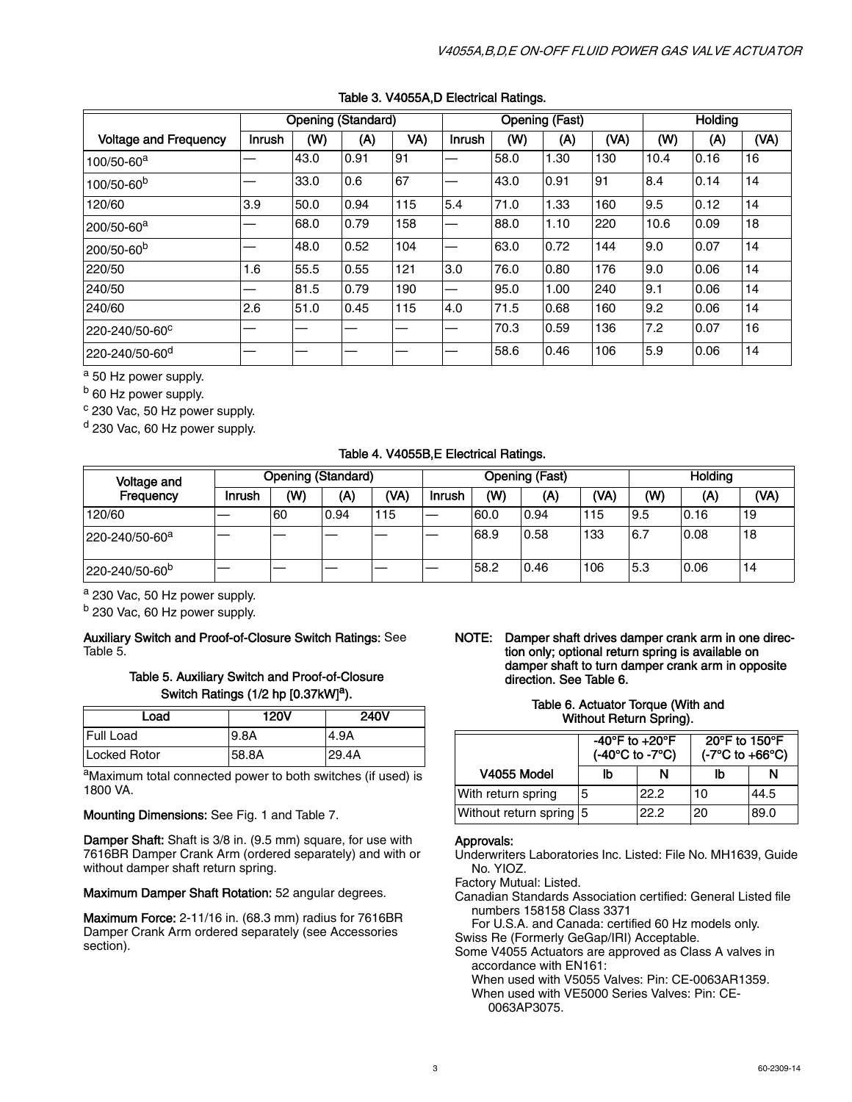|                              |               |      | <b>Opening (Standard)</b> |     | <b>Opening (Fast)</b> |      |      |      | <b>Holding</b> |      |      |
|------------------------------|---------------|------|---------------------------|-----|-----------------------|------|------|------|----------------|------|------|
| <b>Voltage and Frequency</b> | <b>Inrush</b> | (W)  | (A)                       | VA) | <b>Inrush</b>         | (W)  | (A)  | (VA) | (W)            | (A)  | (VA) |
| 100/50-60 <sup>a</sup>       |               | 43.0 | 0.91                      | 91  |                       | 58.0 | 1.30 | 130  | 10.4           | 0.16 | 16   |
| 100/50-60 <sup>b</sup>       |               | 33.0 | 0.6                       | 67  | -                     | 43.0 | 0.91 | 91   | 8.4            | 0.14 | 14   |
| 120/60                       | 3.9           | 50.0 | 0.94                      | 115 | 5.4                   | 71.0 | 1.33 | 160  | 9.5            | 0.12 | 14   |
| 200/50-60 <sup>a</sup>       |               | 68.0 | 0.79                      | 158 |                       | 88.0 | 1.10 | 220  | 10.6           | 0.09 | 18   |
| 200/50-60 <sup>b</sup>       |               | 48.0 | 0.52                      | 104 | –                     | 63.0 | 0.72 | 144  | 9.0            | 0.07 | 14   |
| 220/50                       | 1.6           | 55.5 | 0.55                      | 121 | 3.0                   | 76.0 | 0.80 | 176  | 9.0            | 0.06 | 14   |
| 240/50                       |               | 81.5 | 0.79                      | 190 | –                     | 95.0 | 1.00 | 240  | 9.1            | 0.06 | 14   |
| 240/60                       | 2.6           | 51.0 | 0.45                      | 115 | 4.0                   | 71.5 | 0.68 | 160  | 9.2            | 0.06 | 14   |
| 220-240/50-60°               |               |      |                           |     |                       | 70.3 | 0.59 | 136  | 7.2            | 0.07 | 16   |
| 220-240/50-60 <sup>d</sup>   |               |      |                           |     |                       | 58.6 | 0.46 | 106  | 5.9            | 0.06 | 14   |

### Table 3. V4055A,D Electrical Ratings.

a 50 Hz power supply.

b 60 Hz power supply.

c 230 Vac, 50 Hz power supply.

<sup>d</sup> 230 Vac, 60 Hz power supply.

### Table 4. V4055B,E Electrical Ratings.

| <b>Voltage and</b>         | Opening (Standard) |     |      |      | <b>Opening (Fast)</b> |      |      |      | Holdina |      |      |
|----------------------------|--------------------|-----|------|------|-----------------------|------|------|------|---------|------|------|
| Frequency                  | Inrush             | (W) | (A)  | (VA) | Inrush                | (W)  | (A)  | (VA) | (W)     | (A)  | (VA) |
| 120/60                     |                    | 60  | 0.94 | 115  |                       | 60.0 | 0.94 | 115  | 9.5     | 0.16 | 19   |
| 220-240/50-60 <sup>a</sup> |                    |     |      |      |                       | 68.9 | 0.58 | 133  | 6.7     | 0.08 | 18   |
| 220-240/50-60 <sup>p</sup> |                    |     |      |      |                       | 58.2 | 0.46 | 106  | 5.3     | 0.06 | 14   |

a 230 Vac, 50 Hz power supply.

b 230 Vac, 60 Hz power supply.

#### Auxiliary Switch and Proof-of-Closure Switch Ratings: See Table 5.

### Table 5. Auxiliary Switch and Proof-of-Closure Switch Ratings (1/2 hp [0.37kW]<sup>a</sup>).

| Load                | <b>120V</b> | <b>240V</b> |
|---------------------|-------------|-------------|
| Full Load           | <b>9.8A</b> | 4.9A        |
| <b>Locked Rotor</b> | 58.8A       | 29.4A       |

aMaximum total connected power to both switches (if used) is 1800 VA.

Mounting Dimensions: See Fig. 1 and Table 7.

Damper Shaft: Shaft is 3/8 in. (9.5 mm) square, for use with 7616BR Damper Crank Arm (ordered separately) and with or without damper shaft return spring.

Maximum Damper Shaft Rotation: 52 angular degrees.

Maximum Force: 2-11/16 in. (68.3 mm) radius for 7616BR Damper Crank Arm ordered separately (see Accessories section).

NOTE: Damper shaft drives damper crank arm in one direction only; optional return spring is available on damper shaft to turn damper crank arm in opposite direction. See Table 6.

#### Table 6. Actuator Torque (With and Without Return Spring).

|                         | -40°F to $+20$ °F<br>(-40°C to -7°C) |      | 20°F to 150°F<br>$(-7^{\circ}C$ to $+66^{\circ}C)$ |      |  |  |
|-------------------------|--------------------------------------|------|----------------------------------------------------|------|--|--|
| V4055 Model             | lb                                   | N    | ľb                                                 | N    |  |  |
| With return spring      | 5                                    | 22.2 | 10                                                 | 44.5 |  |  |
| Without return spring 5 |                                      | 22.2 | 20                                                 | 89.0 |  |  |

### Approvals:

Underwriters Laboratories Inc. Listed: File No. MH1639, Guide No. YIOZ.

Factory Mutual: Listed.

Canadian Standards Association certified: General Listed file numbers 158158 Class 3371

For U.S.A. and Canada: certified 60 Hz models only. Swiss Re (Formerly GeGap/IRI) Acceptable.

Some V4055 Actuators are approved as Class A valves in accordance with EN161:

When used with V5055 Valves: Pin: CE-0063AR1359.

When used with VE5000 Series Valves: Pin: CE-0063AP3075.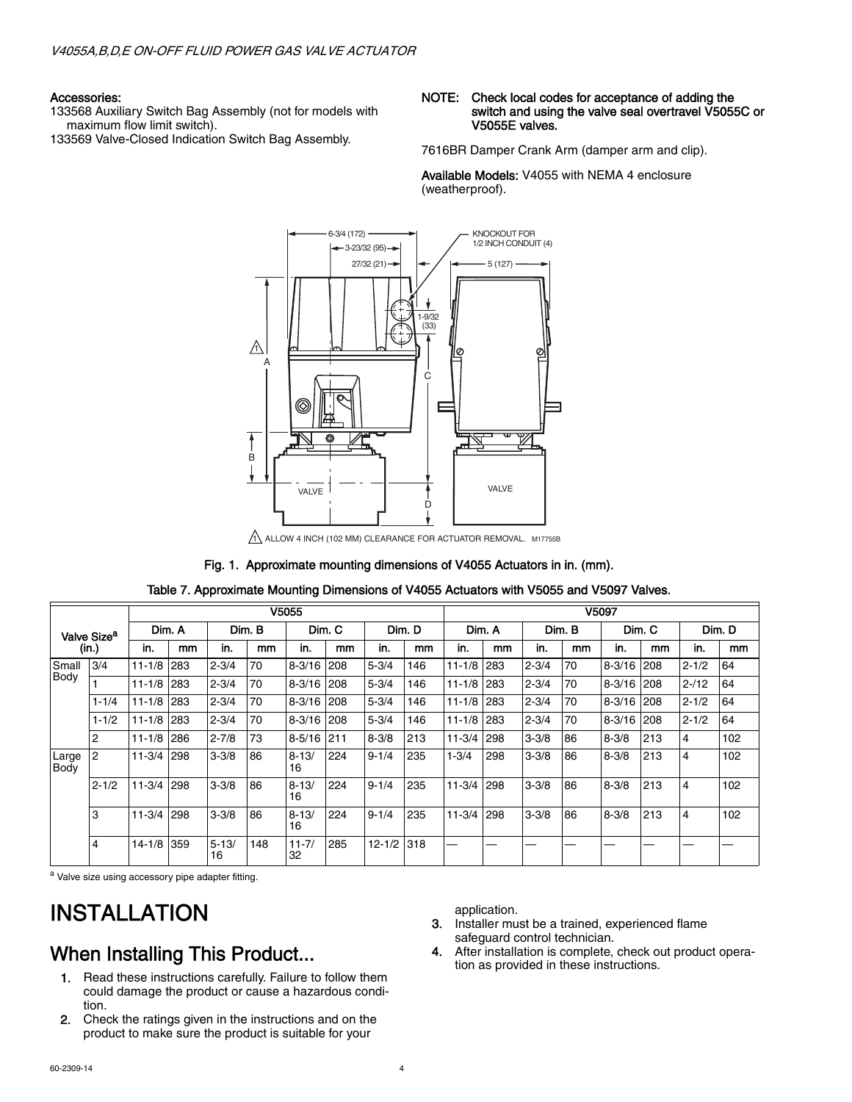#### Accessories:

133568 Auxiliary Switch Bag Assembly (not for models with maximum flow limit switch).

133569 Valve-Closed Indication Switch Bag Assembly.

#### NOTE: Check local codes for acceptance of adding the switch and using the valve seal overtravel V5055C or V5055E valves.

7616BR Damper Crank Arm (damper arm and clip).

Available Models: V4055 with NEMA 4 enclosure (weatherproof).



1 ALLOW 4 INCH (102 MM) CLEARANCE FOR ACTUATOR REMOVAL. M17755B

### Fig. 1. Approximate mounting dimensions of V4055 Actuators in in. (mm).

|                      |                         |                  | V5055 |                  |     |                 |                  |            |     |            | V5097  |           |        |            |     |           |     |
|----------------------|-------------------------|------------------|-------|------------------|-----|-----------------|------------------|------------|-----|------------|--------|-----------|--------|------------|-----|-----------|-----|
|                      | Valve Size <sup>a</sup> | Dim. A<br>Dim. B |       | Dim. C<br>Dim. D |     |                 | Dim. A<br>Dim. B |            |     |            | Dim. C |           | Dim. D |            |     |           |     |
|                      | (in.)                   | in.              | mm    | in.              | mm  | in.             | mm               | in.        | mm  | in.        | mm     | in.       | mm     | in.        | mm  | in.       | mm  |
| Small                | 3/4                     | $11 - 1/8$       | 283   | $2 - 3/4$        | 70  | $8 - 3/16$      | 208              | $5 - 3/4$  | 146 | $11 - 1/8$ | 283    | $2 - 3/4$ | 70     | $8 - 3/16$ | 208 | $2 - 1/2$ | 64  |
| Body                 |                         | $11 - 1/8$       | 283   | $2 - 3/4$        | 70  | $8 - 3/16$      | 208              | $5 - 3/4$  | 146 | $11 - 1/8$ | 283    | $2 - 3/4$ | 70     | $8 - 3/16$ | 208 | $2 - 12$  | 64  |
|                      | $1 - 1/4$               | $11 - 1/8$       | 283   | $2 - 3/4$        | 70  | $8 - 3/16$      | 208              | $5 - 3/4$  | 146 | $11 - 1/8$ | 283    | $2 - 3/4$ | 70     | $8 - 3/16$ | 208 | $2 - 1/2$ | 64  |
|                      | $1 - 1/2$               | $11 - 1/8$       | 283   | $2 - 3/4$        | 70  | $8 - 3/16$      | 208              | $5 - 3/4$  | 146 | $11 - 1/8$ | 283    | $2 - 3/4$ | 70     | $8 - 3/16$ | 208 | $2 - 1/2$ | 64  |
|                      | 2                       | $11 - 1/8$       | 286   | $2 - 7/8$        | 73  | $8 - 5/16$      | 1211             | $8 - 3/8$  | 213 | $11 - 3/4$ | 298    | $3 - 3/8$ | 86     | $8 - 3/8$  | 213 | 4         | 102 |
| Large<br><b>Body</b> | 12                      | $11 - 3/4$       | 298   | $3 - 3/8$        | 86  | $8 - 13/$<br>16 | 224              | $9 - 1/4$  | 235 | $1 - 3/4$  | 298    | $3 - 3/8$ | 86     | $8 - 3/8$  | 213 | 4         | 102 |
|                      | $2 - 1/2$               | $11 - 3/4$       | 298   | $3 - 3/8$        | 86  | $8 - 13/$<br>16 | 224              | $9 - 1/4$  | 235 | $11 - 3/4$ | 298    | $3 - 3/8$ | 86     | $8 - 3/8$  | 213 | 4         | 102 |
|                      | 3                       | $11 - 3/4$       | 298   | $3 - 3/8$        | 86  | $8 - 13/$<br>16 | 224              | $9 - 1/4$  | 235 | $11 - 3/4$ | 298    | $3 - 3/8$ | 86     | $8 - 3/8$  | 213 | 4         | 102 |
|                      | 4                       | $14 - 1/8$       | 359   | $5 - 13/$<br>16  | 148 | $11 - 7/$<br>32 | 285              | $12 - 1/2$ | 318 |            |        |           |        |            |     |           |     |

Table 7. Approximate Mounting Dimensions of V4055 Actuators with V5055 and V5097 Valves.

a Valve size using accessory pipe adapter fitting.

## INSTALLATION

### When Installing This Product...

- 1. Read these instructions carefully. Failure to follow them could damage the product or cause a hazardous condition.
- 2. Check the ratings given in the instructions and on the product to make sure the product is suitable for your

application.

- 3. Installer must be a trained, experienced flame safeguard control technician.
- 4. After installation is complete, check out product operation as provided in these instructions.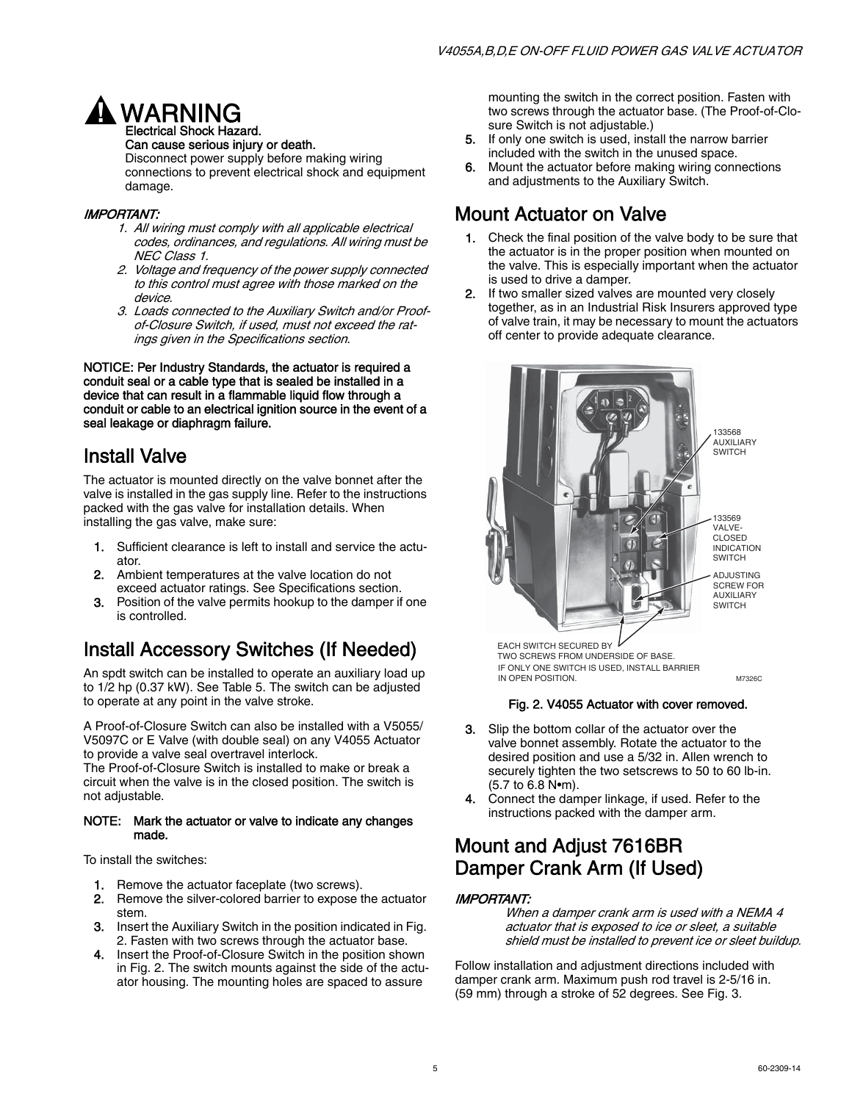

Can cause serious injury or death.

Disconnect power supply before making wiring connections to prevent electrical shock and equipment damage.

### IMPORTANT:

- 1. All wiring must comply with all applicable electrical codes, ordinances, and regulations. All wiring must be NEC Class 1.
- 2. Voltage and frequency of the power supply connected to this control must agree with those marked on the device.
- 3. Loads connected to the Auxiliary Switch and/or Proofof-Closure Switch, if used, must not exceed the ratings given in the Specifications section.

NOTICE: Per Industry Standards, the actuator is required a conduit seal or a cable type that is sealed be installed in a device that can result in a flammable liquid flow through a conduit or cable to an electrical ignition source in the event of a seal leakage or diaphragm failure.

### Install Valve

The actuator is mounted directly on the valve bonnet after the valve is installed in the gas supply line. Refer to the instructions packed with the gas valve for installation details. When installing the gas valve, make sure:

- 1. Sufficient clearance is left to install and service the actuator.
- 2. Ambient temperatures at the valve location do not exceed actuator ratings. See Specifications section.
- **3.** Position of the valve permits hookup to the damper if one is controlled.

### Install Accessory Switches (If Needed)

An spdt switch can be installed to operate an auxiliary load up to 1/2 hp (0.37 kW). See Table 5. The switch can be adjusted to operate at any point in the valve stroke.

A Proof-of-Closure Switch can also be installed with a V5055/ V5097C or E Valve (with double seal) on any V4055 Actuator to provide a valve seal overtravel interlock.

The Proof-of-Closure Switch is installed to make or break a circuit when the valve is in the closed position. The switch is not adjustable.

### NOTE: Mark the actuator or valve to indicate any changes made.

To install the switches:

- 1. Remove the actuator faceplate (two screws).
- 2. Remove the silver-colored barrier to expose the actuator stem.
- 3. Insert the Auxiliary Switch in the position indicated in Fig. 2. Fasten with two screws through the actuator base.
- 4. Insert the Proof-of-Closure Switch in the position shown in Fig. 2. The switch mounts against the side of the actuator housing. The mounting holes are spaced to assure

mounting the switch in the correct position. Fasten with two screws through the actuator base. (The Proof-of-Closure Switch is not adjustable.)

- If only one switch is used, install the narrow barrier included with the switch in the unused space.
- 6. Mount the actuator before making wiring connections and adjustments to the Auxiliary Switch.

### Mount Actuator on Valve

- 1. Check the final position of the valve body to be sure that the actuator is in the proper position when mounted on the valve. This is especially important when the actuator is used to drive a damper.
- 2. If two smaller sized valves are mounted very closely together, as in an Industrial Risk Insurers approved type of valve train, it may be necessary to mount the actuators off center to provide adequate clearance.



TWO SCREWS FROM UNDERSIDE OF BASE. IF ONLY ONE SWITCH IS USED, INSTALL BARRIER IN OPEN POSITION. And the state of the state of the material materials of the material material materials of the material material materials of the material material materials of the material material material materials an

### Fig. 2. V4055 Actuator with cover removed.

- 3. Slip the bottom collar of the actuator over the valve bonnet assembly. Rotate the actuator to the desired position and use a 5/32 in. Allen wrench to securely tighten the two setscrews to 50 to 60 lb-in. (5.7 to 6.8 N•m).
- 4. Connect the damper linkage, if used. Refer to the instructions packed with the damper arm.

### Mount and Adjust 7616BR Damper Crank Arm (If Used)

### IMPORTANT:

When a damper crank arm is used with a NEMA 4 actuator that is exposed to ice or sleet, a suitable shield must be installed to prevent ice or sleet buildup.

Follow installation and adjustment directions included with damper crank arm. Maximum push rod travel is 2-5/16 in. (59 mm) through a stroke of 52 degrees. See Fig. 3.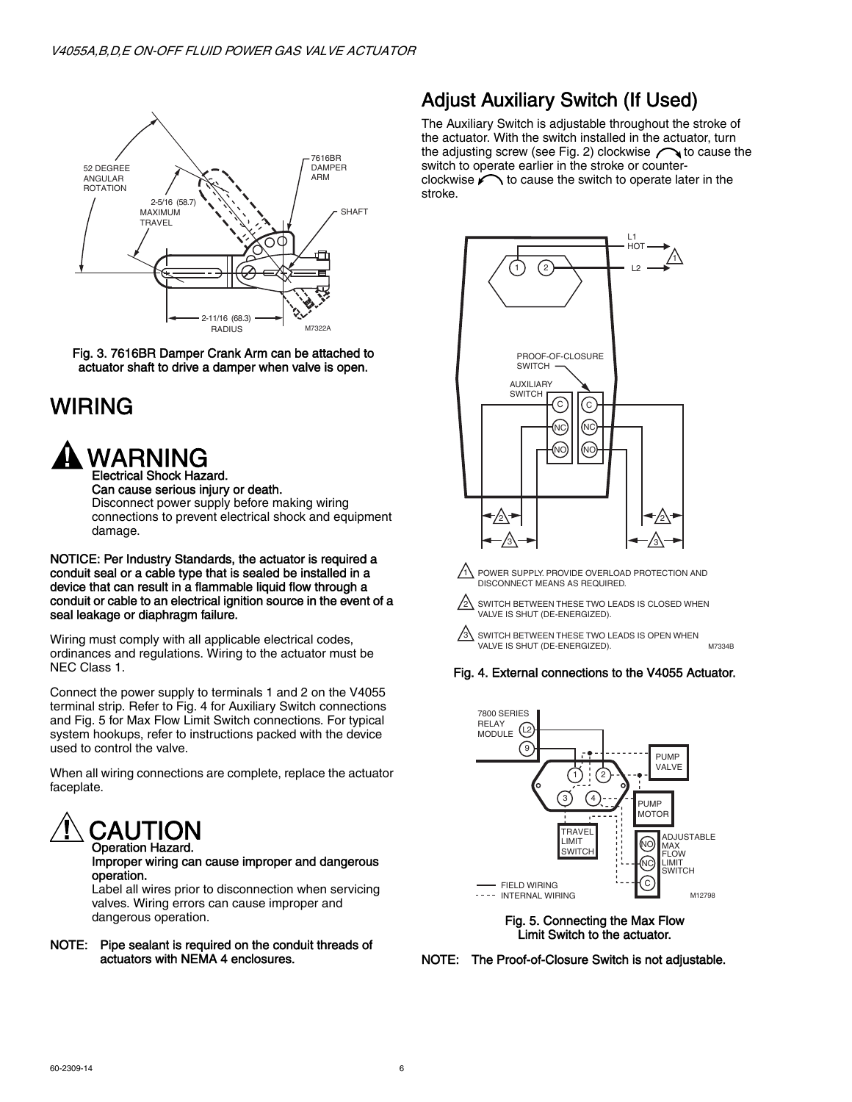

Fig. 3. 7616BR Damper Crank Arm can be attached to actuator shaft to drive a damper when valve is open.

## WIRING



Can cause serious injury or death. Disconnect power supply before making wiring connections to prevent electrical shock and equipment damage.

#### NOTICE: Per Industry Standards, the actuator is required a conduit seal or a cable type that is sealed be installed in a device that can result in a flammable liquid flow through a conduit or cable to an electrical ignition source in the event of a seal leakage or diaphragm failure.

Wiring must comply with all applicable electrical codes, ordinances and regulations. Wiring to the actuator must be NEC Class 1.

Connect the power supply to terminals 1 and 2 on the V4055 terminal strip. Refer to Fig. 4 for Auxiliary Switch connections and Fig. 5 for Max Flow Limit Switch connections. For typical system hookups, refer to instructions packed with the device used to control the valve.

When all wiring connections are complete, replace the actuator faceplate.



### Improper wiring can cause improper and dangerous operation.

Label all wires prior to disconnection when servicing valves. Wiring errors can cause improper and dangerous operation.

### NOTE: Pipe sealant is required on the conduit threads of actuators with NEMA 4 enclosures.

### Adjust Auxiliary Switch (If Used)

The Auxiliary Switch is adjustable throughout the stroke of the actuator. With the switch installed in the actuator, turn the adjusting screw (see Fig. 2) clockwise  $\bigcap$  to cause the switch to operate earlier in the stroke or counterclockwise  $\bigcap$  to cause the switch to operate later in the stroke.



1\ POWER SUPPLY. PROVIDE OVERLOAD PROTECTION AND DISCONNECT MEANS AS REQUIRED.

2 SWITCH BETWEEN THESE TWO LEADS IS CLOSED WHEN VALVE IS SHUT (DE-ENERGIZED).

 $\sqrt{3}$  SWITCH BETWEEN THESE TWO LEADS IS OPEN WHEN VALVE IS SHUT (DE-ENERGIZED). M7334B

### Fig. 4. External connections to the V4055 Actuator.



Fig. 5. Connecting the Max Flow Limit Switch to the actuator.

NOTE: The Proof-of-Closure Switch is not adjustable.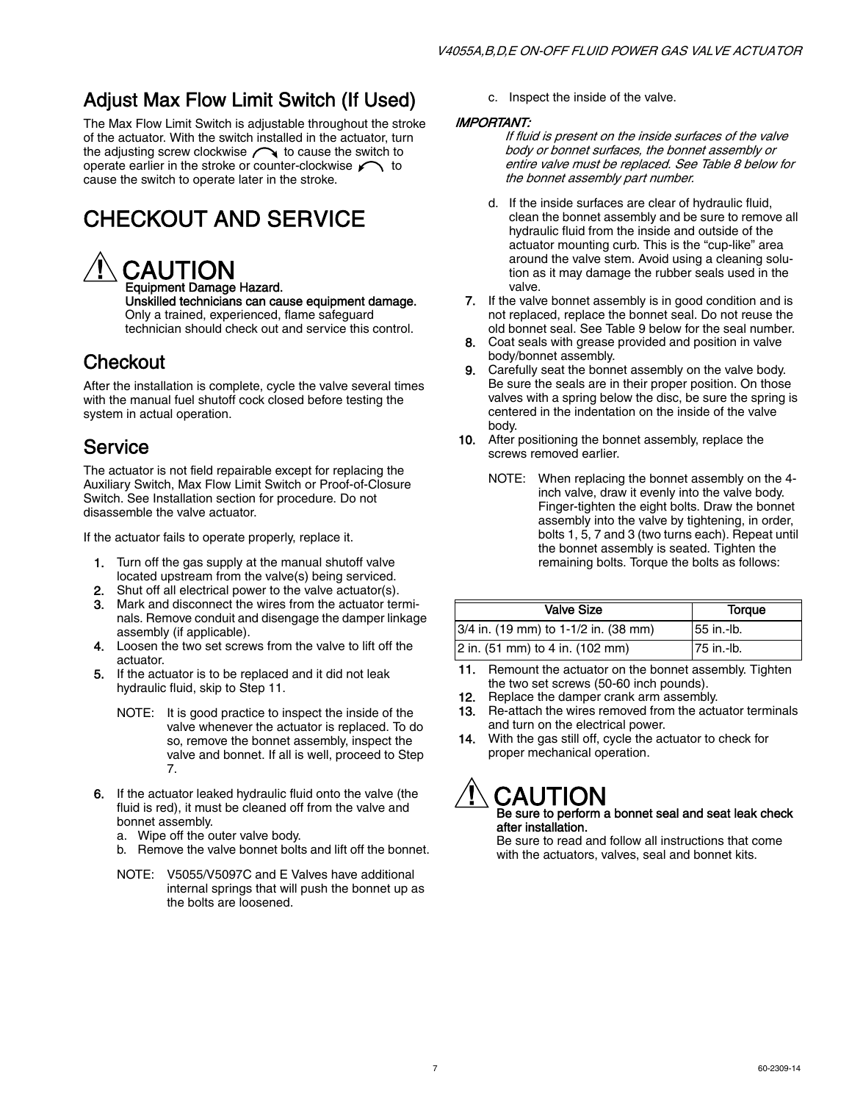## Adjust Max Flow Limit Switch (If Used)

The Max Flow Limit Switch is adjustable throughout the stroke of the actuator. With the switch installed in the actuator, turn the adjusting screw clockwise  $\curvearrowright$  to cause the switch to operate earlier in the stroke or counter-clockwise  $\sim$  to cause the switch to operate later in the stroke.

## CHECKOUT AND SERVICE

## **CAUTION**

Equipment Damage Hazard. Unskilled technicians can cause equipment damage. Only a trained, experienced, flame safeguard technician should check out and service this control.

### **Checkout**

After the installation is complete, cycle the valve several times with the manual fuel shutoff cock closed before testing the system in actual operation.

### Service

The actuator is not field repairable except for replacing the Auxiliary Switch, Max Flow Limit Switch or Proof-of-Closure Switch. See Installation section for procedure. Do not disassemble the valve actuator.

If the actuator fails to operate properly, replace it.

- 1. Turn off the gas supply at the manual shutoff valve located upstream from the valve(s) being serviced.
- 2. Shut off all electrical power to the valve actuator(s).
- 3. Mark and disconnect the wires from the actuator terminals. Remove conduit and disengage the damper linkage assembly (if applicable).
- 4. Loosen the two set screws from the valve to lift off the actuator.
- 5. If the actuator is to be replaced and it did not leak hydraulic fluid, skip to Step 11.
	- NOTE: It is good practice to inspect the inside of the valve whenever the actuator is replaced. To do so, remove the bonnet assembly, inspect the valve and bonnet. If all is well, proceed to Step 7.
- 6. If the actuator leaked hydraulic fluid onto the valve (the fluid is red), it must be cleaned off from the valve and bonnet assembly.
	- a. Wipe off the outer valve body.
	- b. Remove the valve bonnet bolts and lift off the bonnet.
	- NOTE: V5055/V5097C and E Valves have additional internal springs that will push the bonnet up as the bolts are loosened.

c. Inspect the inside of the valve.

### IMPORTANT:

If fluid is present on the inside surfaces of the valve body or bonnet surfaces, the bonnet assembly or entire valve must be replaced. See Table 8 below for the bonnet assembly part number.

- d. If the inside surfaces are clear of hydraulic fluid, clean the bonnet assembly and be sure to remove all hydraulic fluid from the inside and outside of the actuator mounting curb. This is the "cup-like" area around the valve stem. Avoid using a cleaning solution as it may damage the rubber seals used in the valve.
- 7. If the valve bonnet assembly is in good condition and is not replaced, replace the bonnet seal. Do not reuse the old bonnet seal. See Table 9 below for the seal number.
- 8. Coat seals with grease provided and position in valve body/bonnet assembly.
- 9. Carefully seat the bonnet assembly on the valve body. Be sure the seals are in their proper position. On those valves with a spring below the disc, be sure the spring is centered in the indentation on the inside of the valve body.
- 10. After positioning the bonnet assembly, replace the screws removed earlier.
	- NOTE: When replacing the bonnet assembly on the 4 inch valve, draw it evenly into the valve body. Finger-tighten the eight bolts. Draw the bonnet assembly into the valve by tightening, in order, bolts 1, 5, 7 and 3 (two turns each). Repeat until the bonnet assembly is seated. Tighten the remaining bolts. Torque the bolts as follows:

| <b>Valve Size</b>                    | Torque     |
|--------------------------------------|------------|
| 3/4 in. (19 mm) to 1-1/2 in. (38 mm) | 55 in.-lb. |
| 2 in. (51 mm) to 4 in. (102 mm)      | 75 in -lb. |

- 11. Remount the actuator on the bonnet assembly. Tighten the two set screws (50-60 inch pounds).
- 12. Replace the damper crank arm assembly.
- 13. Re-attach the wires removed from the actuator terminals and turn on the electrical power.
- 14. With the gas still off, cycle the actuator to check for proper mechanical operation.

# CAUTION

Be sure to perform a bonnet seal and seat leak check after installation.

Be sure to read and follow all instructions that come with the actuators, valves, seal and bonnet kits.